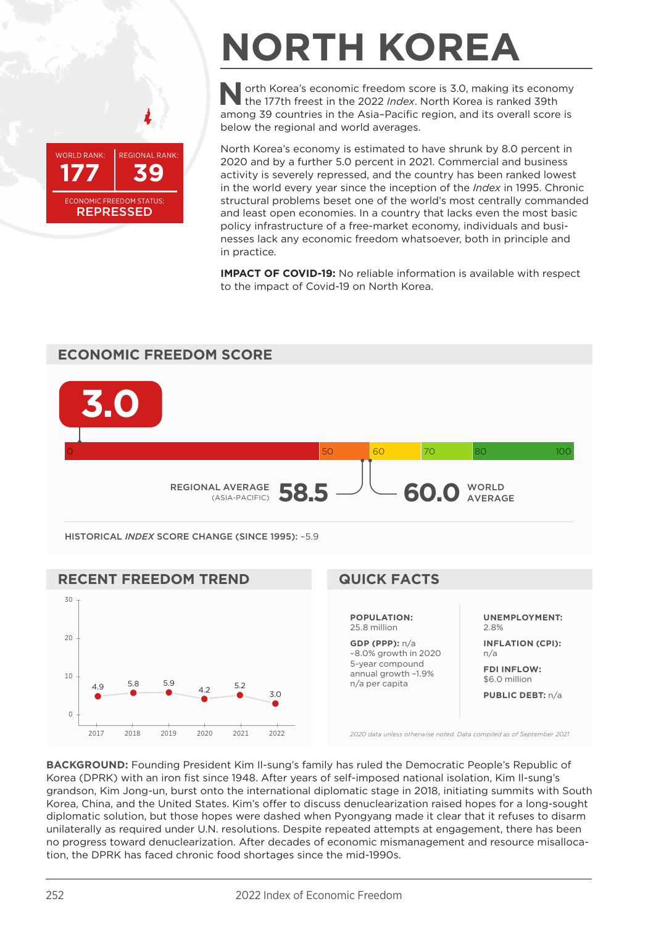

## **NORTH KOREA**

**North Korea's economic freedom score is 3.0, making its economy**<br>the 177th freest in the 2022 *Index*. North Korea is ranked 39th among 39 countries in the Asia–Pacific region, and its overall score is below the regional and world averages.

North Korea's economy is estimated to have shrunk by 8.0 percent in 2020 and by a further 5.0 percent in 2021. Commercial and business activity is severely repressed, and the country has been ranked lowest in the world every year since the inception of the *Index* in 1995. Chronic structural problems beset one of the world's most centrally commanded and least open economies. In a country that lacks even the most basic policy infrastructure of a free-market economy, individuals and businesses lack any economic freedom whatsoever, both in principle and in practice.

**IMPACT OF COVID-19:** No reliable information is available with respect to the impact of Covid-19 on North Korea.





**BACKGROUND:** Founding President Kim Il-sung's family has ruled the Democratic People's Republic of Korea (DPRK) with an iron fist since 1948. After years of self-imposed national isolation, Kim Il-sung's grandson, Kim Jong-un, burst onto the international diplomatic stage in 2018, initiating summits with South Korea, China, and the United States. Kim's offer to discuss denuclearization raised hopes for a long-sought diplomatic solution, but those hopes were dashed when Pyongyang made it clear that it refuses to disarm unilaterally as required under U.N. resolutions. Despite repeated attempts at engagement, there has been no progress toward denuclearization. After decades of economic mismanagement and resource misallocation, the DPRK has faced chronic food shortages since the mid-1990s.